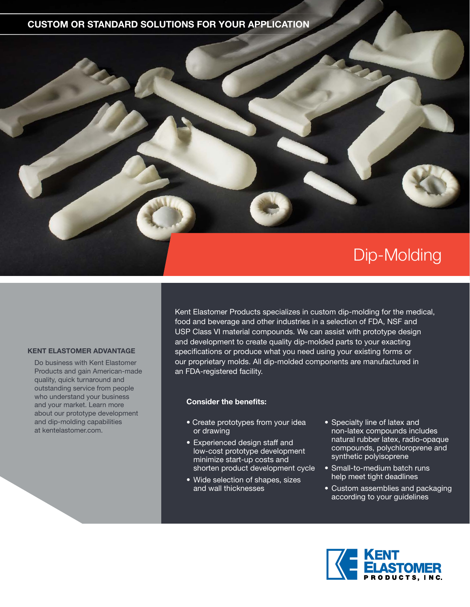## **CUSTOM OR STANDARD SOLUTIONS FOR YOUR APPLICATION**



### **KENT ELASTOMER ADVANTAGE**

Do business with Kent Elastomer Products and gain American-made quality, quick turnaround and outstanding service from people who understand your business and your market. Learn more about our prototype development and dip-molding capabilities at kentelastomer.com.

Kent Elastomer Products specializes in custom dip-molding for the medical, food and beverage and other industries in a selection of FDA, NSF and USP Class VI material compounds. We can assist with prototype design and development to create quality dip-molded parts to your exacting specifications or produce what you need using your existing forms or our proprietary molds. All dip-molded components are manufactured in an FDA-registered facility.

#### **Consider the benefits:**

- Create prototypes from your idea or drawing
- Experienced design staff and low-cost prototype development minimize start-up costs and shorten product development cycle
- Wide selection of shapes, sizes and wall thicknesses
- Specialty line of latex and non-latex compounds includes natural rubber latex, radio-opaque compounds, polychloroprene and synthetic polyisoprene
- Small-to-medium batch runs help meet tight deadlines
- Custom assemblies and packaging according to your guidelines